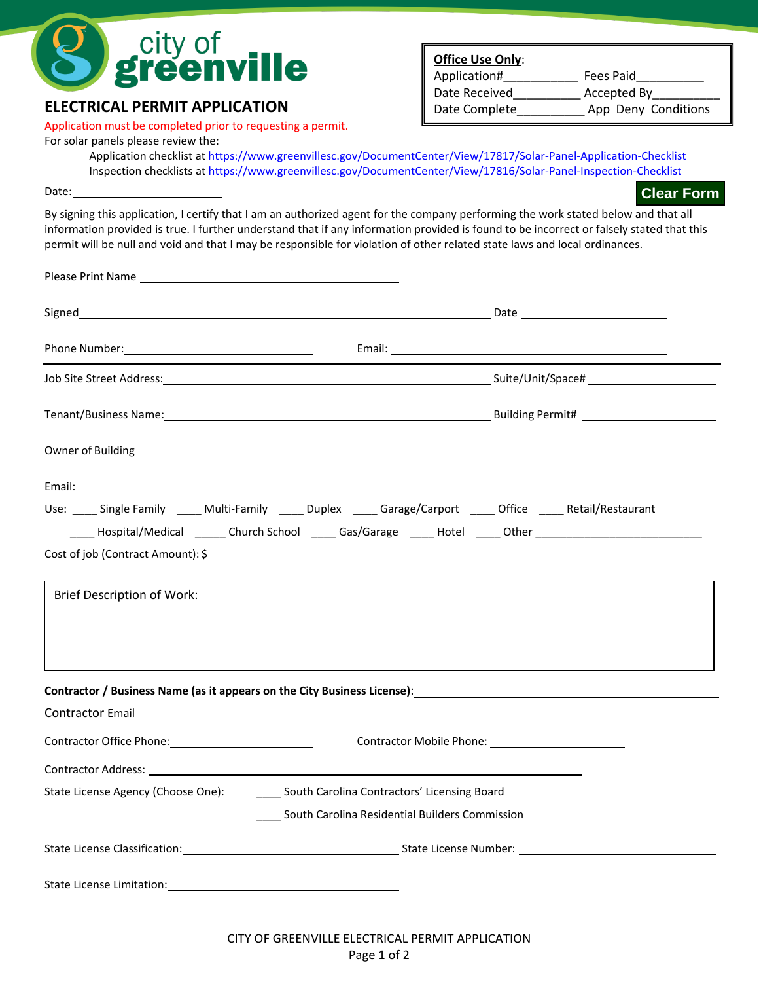

## **ELECTRICAL PERMIT APPLICATION**

Application must be completed prior to requesting a permit.

## For solar panels please review the:

**Office Use Only**: Application# Fees Paid Date Received **Accepted By** Date Complete \_\_\_\_\_\_\_\_\_\_\_ App Deny Conditions

**Clear Form**

Application checklist at <https://www.greenvillesc.gov/DocumentCenter/View/17817/Solar-Panel-Application-Checklist> Inspection checklists at <https://www.greenvillesc.gov/DocumentCenter/View/17816/Solar-Panel-Inspection-Checklist>

Date:

By signing this application, I certify that I am an authorized agent for the company performing the work stated below and that all information provided is true. I further understand that if any information provided is found to be incorrect or falsely stated that this permit will be null and void and that I may be responsible for violation of other related state laws and local ordinances.

|                                                                                                                                                                                                                                |                                                     | Tenant/Business Name: 1990 Manual Communication of Building Permit# 1990 Manual Communication of Building Permit # |  |
|--------------------------------------------------------------------------------------------------------------------------------------------------------------------------------------------------------------------------------|-----------------------------------------------------|--------------------------------------------------------------------------------------------------------------------|--|
|                                                                                                                                                                                                                                |                                                     |                                                                                                                    |  |
|                                                                                                                                                                                                                                |                                                     |                                                                                                                    |  |
| Use: Single Family ____ Multi-Family _____ Duplex _____ Garage/Carport _____ Office _____ Retail/Restaurant                                                                                                                    |                                                     |                                                                                                                    |  |
| Cost of job (Contract Amount): \$                                                                                                                                                                                              |                                                     | ______Hospital/Medical _______Church School _______Gas/Garage ______Hotel _____Other _________________________     |  |
|                                                                                                                                                                                                                                |                                                     |                                                                                                                    |  |
| <b>Brief Description of Work:</b>                                                                                                                                                                                              |                                                     |                                                                                                                    |  |
|                                                                                                                                                                                                                                |                                                     |                                                                                                                    |  |
|                                                                                                                                                                                                                                |                                                     |                                                                                                                    |  |
| Contractor / Business Name (as it appears on the City Business License): Contractor Australian Control of Australian Control of Australian Control of Australian Control of Australian Control of Australian Control of Austra |                                                     |                                                                                                                    |  |
|                                                                                                                                                                                                                                |                                                     |                                                                                                                    |  |
| Contractor Office Phone: 2008 2010 2021 2022 2023                                                                                                                                                                              |                                                     |                                                                                                                    |  |
|                                                                                                                                                                                                                                |                                                     |                                                                                                                    |  |
| State License Agency (Choose One): South Carolina Contractors' Licensing Board                                                                                                                                                 |                                                     |                                                                                                                    |  |
|                                                                                                                                                                                                                                | ____ South Carolina Residential Builders Commission |                                                                                                                    |  |
|                                                                                                                                                                                                                                |                                                     |                                                                                                                    |  |
| State License Limitation: State License Limitation:                                                                                                                                                                            |                                                     |                                                                                                                    |  |